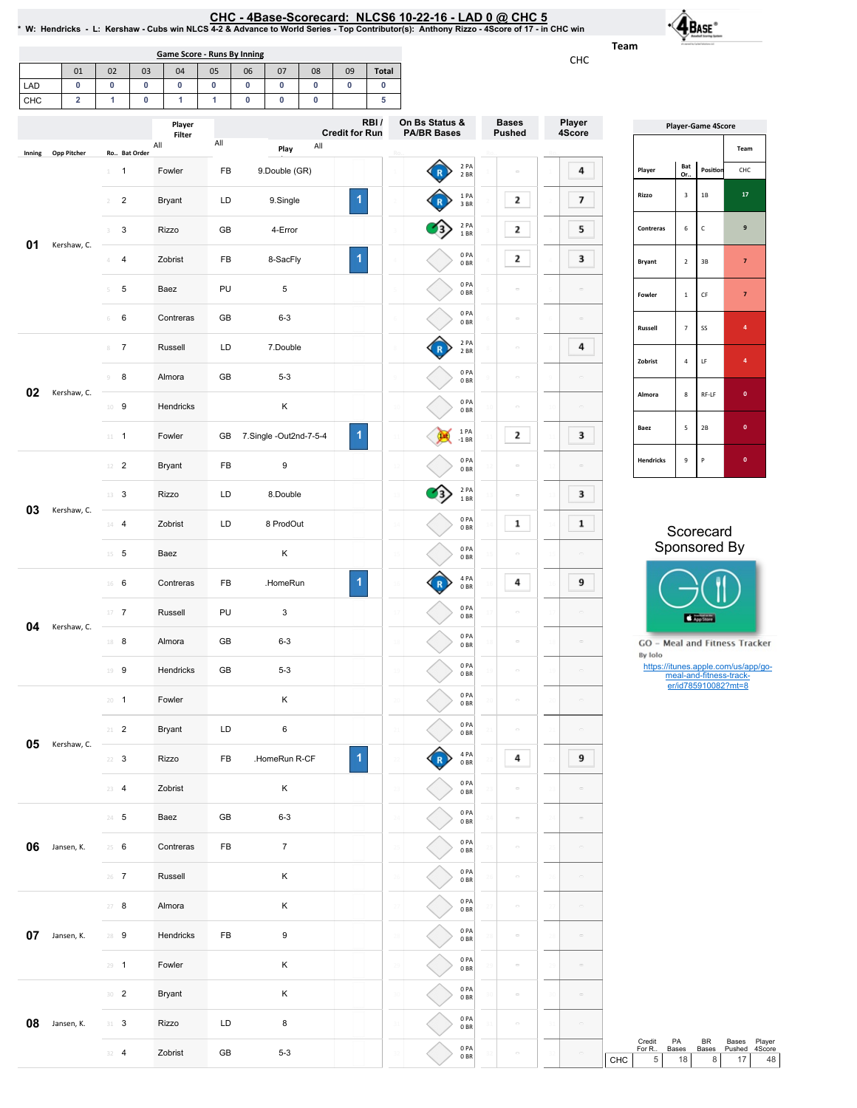CHC-4Base-Scorecard:NLCS610-22-16-LAD0@ CHC5 \*W:Hendricks-L:Kershaw-CubswinNLCS4-2&AdvancetoWorldSeries-TopContributor(s):AnthonyRizzo-4Scoreof17-inCHCwin

Team  $C\cup C$ 

 $\overrightarrow{\mathbf{A}}_{\text{Base}}$ 

Player 4Score

|        |                 |                                                                    |                 | <b>Game Score - Runs By Inning</b> |                 |                |                           |                 |                         |                    |                                      |                         |                               | CHC                                                  | <b>ICOUL</b> |                                          |                                |                                                |                                           |
|--------|-----------------|--------------------------------------------------------------------|-----------------|------------------------------------|-----------------|----------------|---------------------------|-----------------|-------------------------|--------------------|--------------------------------------|-------------------------|-------------------------------|------------------------------------------------------|--------------|------------------------------------------|--------------------------------|------------------------------------------------|-------------------------------------------|
| LAD    | 01<br>$\pmb{0}$ | 02<br>$\pmb{0}$                                                    | 03<br>$\pmb{0}$ | 04<br>$\mathbf 0$                  | 05<br>$\pmb{0}$ | 06<br>$\bf{0}$ | 07<br>0                   | 08<br>$\pmb{0}$ | 09<br>$\pmb{0}$         | Total<br>$\pmb{0}$ |                                      |                         |                               |                                                      |              |                                          |                                |                                                |                                           |
| CHC    | $\overline{2}$  | 1                                                                  | $\mathbf 0$     | $\mathbf{1}$                       | 1               | $\pmb{0}$      | 0                         | $\bf{0}$        |                         | 5                  |                                      |                         |                               |                                                      |              |                                          |                                |                                                |                                           |
|        |                 |                                                                    |                 | Player<br>Filter                   | All             |                |                           |                 | <b>Credit for Run</b>   | RBI/               | On Bs Status &<br><b>PA/BR Bases</b> |                         | <b>Bases</b><br><b>Pushed</b> | Player<br>4Score                                     |              |                                          |                                | <b>Player-Game 4Score</b>                      |                                           |
| Inning | Opp Pitcher     | Ro Bat Order                                                       |                 | All                                |                 |                | Play                      | All             |                         |                    |                                      |                         |                               |                                                      |              |                                          | Bat                            |                                                | Team                                      |
|        |                 | $\overline{1}$<br>$1\,$                                            |                 | Fowler                             | FB              |                | 9.Double (GR)             |                 | $\overline{\mathbf{1}}$ |                    |                                      | 2 PA<br>2 BR<br>1 PA    |                               | 4                                                    |              | Player<br>Rizzo                          | Or.<br>$\overline{\mathbf{3}}$ | Position<br>$1\mathsf{B}$                      | $\mathsf{CHC}$<br>${\bf 17}$              |
|        |                 | $\overline{2}$<br>$\overline{2}$<br>$\mathbf{3}$<br>$\overline{3}$ |                 | <b>Bryant</b><br>Rizzo             | LD<br>GB        |                | 9.Single<br>4-Error       |                 |                         |                    |                                      | 3BR<br>2 PA             | $\mathbf{2}$<br>$\mathbf{2}$  | $\overline{\phantom{a}}$<br>5                        |              | Contreras                                | 6                              | $\mathsf{C}$                                   | $\boldsymbol{9}$                          |
| 01     | Kershaw, C.     | $\overline{4}$<br>4                                                |                 | Zobrist                            | FB              |                | 8-SacFly                  |                 | 1                       |                    | 23                                   | 1BR<br>0PA              | $\mathbf{2}$                  | 3                                                    |              |                                          |                                |                                                |                                           |
|        |                 | $\sqrt{5}$<br>5                                                    |                 | Baez                               | PU              |                | 5                         |                 |                         |                    |                                      | 0 <sub>BR</sub><br>0PA  | $\alpha$                      | $\hfill \square$                                     |              | Bryant                                   | $\overline{2}$                 | $3\,\mathrm{B}$                                | $\overline{\mathbf{z}}$                   |
|        |                 | $\,6\,$<br>6                                                       |                 | Contreras                          | GB              |                | $6 - 3$                   |                 |                         |                    |                                      | 0BR<br>0PA<br>0BR       | $\equiv$                      | $\hfill \square$                                     |              | Fowler                                   | $\,$ 1 $\,$                    | $\mathsf{CF}$                                  | $\overline{\textbf{7}}$                   |
|        |                 | $8 \t7$                                                            |                 | Russell                            | LD              |                | 7.Double                  |                 |                         |                    |                                      | 2 PA<br>2 BR            | $\equiv$                      | 4                                                    |              | Russell                                  | $\overline{7}$                 | SS                                             | $\,$ 4 $\,$                               |
|        |                 | 8<br>9                                                             |                 | Almora                             | GB              |                | $5 - 3$                   |                 |                         |                    |                                      | 0PA<br>0BR              | $\equiv$                      | $\hfill \square$                                     |              | Zobrist                                  | $\sqrt{4}$                     | $\mathsf{LF}$                                  | $\,$ 4 $\,$                               |
| 02     | Kershaw, C.     | $10$ 9                                                             |                 | Hendricks                          |                 |                | Κ                         |                 |                         |                    |                                      | 0PA<br>0 <sub>BR</sub>  | $\equiv$                      | $\hskip10mm\hskip10mm\hskip10mm\hskip10mm\hskip10mm$ |              | Almora                                   | 8                              | RF-LF                                          | $\pmb{\mathsf{o}}$                        |
|        |                 | $11 - 1$                                                           |                 | Fowler                             | GB              |                | 7.Single-Out2nd-7-5-4     |                 | $\blacktriangleleft$    |                    |                                      | 1 PA<br>$-1$ BR         | $\mathbf{2}$                  | 3                                                    |              | Baez                                     | 5                              | $2\mathsf{B}$                                  | $\pmb{\mathsf{o}}$                        |
|        |                 | $12$ <b>2</b>                                                      |                 | <b>Bryant</b>                      | FB              |                | 9                         |                 |                         |                    |                                      | 0PA<br>0BR              | $\equiv$                      | $\hskip1000000$                                      |              | <b>Hendricks</b>                         | 9                              | $\mathsf{P}$                                   | $\pmb{0}$                                 |
|        |                 | $13$ 3                                                             |                 | Rizzo                              | LD              |                | 8.Double                  |                 |                         |                    | $\rightarrow$                        | 2 PA<br>1 BR            | $\equiv$                      | 3                                                    |              |                                          |                                |                                                |                                           |
| 03     | Kershaw, C.     | $14$ 4<br>Zobrist                                                  |                 |                                    | LD              | 8 ProdOut      |                           |                 |                         |                    | 0PA<br>0BR                           | $\mathbf{1}$            | $\mathbf{1}$                  | Scorecard                                            |              |                                          |                                |                                                |                                           |
|        |                 | $15 \t 5$                                                          |                 | Baez                               |                 |                | Κ                         |                 |                         |                    |                                      | 0PA<br>0BR              | $\equiv$                      | $\equiv$                                             |              |                                          |                                | Sponsored By                                   |                                           |
|        |                 | 16 6                                                               |                 | Contreras                          | FB              |                | .HomeRun                  |                 | $\blacktriangleleft$    |                    | R                                    | 4 PA<br>0BR             | 4                             | 9                                                    |              |                                          |                                |                                                |                                           |
| 04     | Kershaw, C.     | $17 - 7$                                                           |                 | Russell                            | PU              |                | 3                         |                 |                         |                    |                                      | 0PA<br>0BR              | $\alpha$                      | $\hfill \square$                                     |              |                                          |                                | App Store                                      |                                           |
|        |                 | $18$ 8                                                             |                 | Almora                             | GB              |                | $6 - 3$                   |                 |                         |                    |                                      | 0PA<br>0BR              | $\bar{a}$                     | $\equiv$                                             |              | GO - Meal and Fitness Tracker<br>By Iolo |                                |                                                |                                           |
|        |                 | $19$ 9                                                             |                 | Hendricks                          | GB              |                | $5 - 3$                   |                 |                         |                    |                                      | 0PA<br>0 <sub>BR</sub>  |                               | $\hskip10mm\hskip10mm\hskip10mm\hskip10mm\hskip10mm$ |              | https://itunes.apple.com/us/app/go-      |                                | meal-and-fitness-track-<br>er/id785910082?mt=8 |                                           |
|        |                 | $20 - 1$                                                           |                 | Fowler                             |                 |                | $\sf K$                   |                 |                         |                    |                                      | 0PA<br>0BR              |                               |                                                      |              |                                          |                                |                                                |                                           |
| 05     | Kershaw, C.     | $21 \t 2$                                                          |                 | Bryant                             | LD              |                | 6                         |                 |                         |                    |                                      | 0PA<br>0BR<br>4 PA      |                               | $\equiv$                                             |              |                                          |                                |                                                |                                           |
|        |                 | $22 \t3$                                                           |                 | Rizzo                              | FB              |                | .HomeRun R-CF             |                 | 1                       |                    |                                      | 0B<br>0PA               | 4                             | 9                                                    |              |                                          |                                |                                                |                                           |
|        |                 | $23 - 4$                                                           |                 | Zobrist                            |                 |                | Κ                         |                 |                         |                    |                                      | 0BR<br>0PA              |                               | $\hfill \square$                                     |              |                                          |                                |                                                |                                           |
|        |                 | $24 - 5$<br>$25 \t 6$                                              |                 | Baez<br>Contreras                  | GB<br>FB        |                | $6 - 3$<br>$\overline{7}$ |                 |                         |                    |                                      | 0BR<br>0PA              | $\sim$<br>$\equiv$            | $\hfill \square$<br>$\hfill \square$                 |              |                                          |                                |                                                |                                           |
| 06     | Jansen, K.      | $26$ <b>7</b>                                                      |                 | Russell                            |                 |                | $\sf K$                   |                 |                         |                    |                                      | 0BR<br>0PA              | $\sim$                        | $\hfill \square$                                     |              |                                          |                                |                                                |                                           |
|        | 07 Jansen, K.   | $27 - 8$                                                           |                 | Almora                             |                 |                | Κ                         |                 |                         |                    |                                      | 0BR<br>0PA<br>0BR       | $\circ$                       | $\hfill \square$                                     |              |                                          |                                |                                                |                                           |
|        |                 | 28 9                                                               |                 | Hendricks                          | FB              |                | $\boldsymbol{9}$          |                 |                         |                    |                                      | 0PA<br>0BR              | $\equiv$                      | $\equiv$                                             |              |                                          |                                |                                                |                                           |
|        |                 | $29 - 1$                                                           |                 | Fowler                             |                 |                | Κ                         |                 |                         |                    |                                      | 0PA<br>0 <sub>BR</sub>  | $\equiv$                      | $\hfill \square$                                     |              |                                          |                                |                                                |                                           |
|        |                 | 30 <sub>2</sub>                                                    |                 | Bryant                             |                 |                | Κ                         |                 |                         |                    |                                      | 0PA<br>0BR              | $\equiv$                      | $\equiv$                                             |              |                                          |                                |                                                |                                           |
| 08     | Jansen, K.      | $31 - 3$                                                           |                 | Rizzo                              | LD              |                | 8                         |                 |                         |                    |                                      | 0PA<br>0BR              | $\equiv$                      | $\equiv$                                             |              |                                          |                                |                                                |                                           |
|        |                 | $32 - 4$                                                           |                 | Zobrist                            | GB              |                | $5 - 3$                   |                 |                         |                    |                                      | 0PA<br>$0\;\mathrm{BR}$ | $\equiv$                      | $\equiv$                                             | CHC          | Credit<br>For R<br>5                     | PA<br>Bases<br>18              | BR<br>Bases<br>$\,8\,$                         | Bases<br>Player<br>4Score<br>Pushed<br>17 |
|        |                 |                                                                    |                 |                                    |                 |                |                           |                 |                         |                    |                                      |                         |                               |                                                      |              |                                          |                                |                                                |                                           |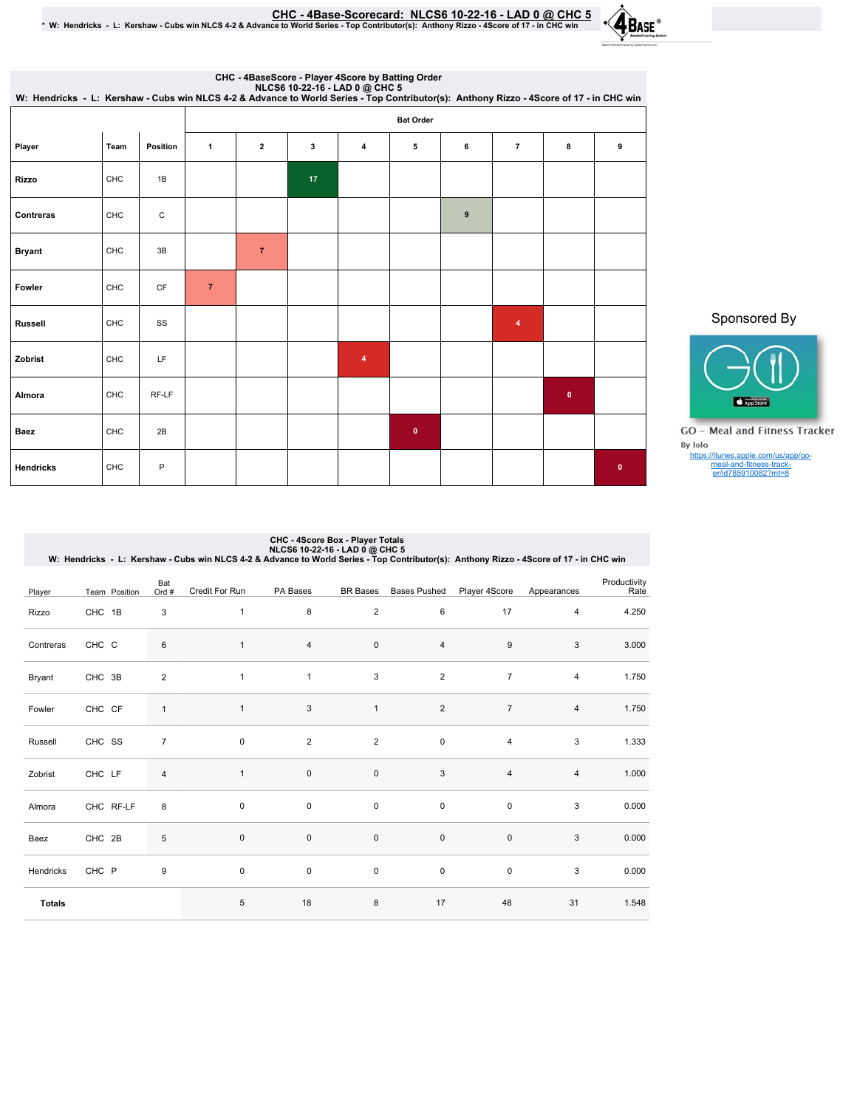CHC - 4Base-Scorecard: NLCS6 10-22-16 - LAD 0 @ CHC 5 يCHC 5 .<br>\* W: Hendricks - L: Kershaw - Cubs win NLCS 4-2 & Advance to World Series - Top Contributor(s): Anthony Rizzo - 4Score of 17 - in CHC win

|                  |            |           | NLCS6 10-22-16 - LAD 0 @ CHC 5<br>W: Hendricks - L: Kershaw - Cubs win NLCS 4-2 & Advance to World Series - Top Contributor(s): Anthony Rizzo - 4Score of 17 - in CHC win<br><b>Bat Order</b> |                |    |   |           |   |                |           |           |  |  |
|------------------|------------|-----------|-----------------------------------------------------------------------------------------------------------------------------------------------------------------------------------------------|----------------|----|---|-----------|---|----------------|-----------|-----------|--|--|
| Player           | Team       | Position  | 1                                                                                                                                                                                             | $\overline{2}$ | 3  | 4 | 5         | 6 | $\overline{7}$ | 8         | 9         |  |  |
| <b>Rizzo</b>     | CHC        | 1B        |                                                                                                                                                                                               |                | 17 |   |           |   |                |           |           |  |  |
| Contreras        | <b>CHC</b> | С         |                                                                                                                                                                                               |                |    |   |           | 9 |                |           |           |  |  |
| <b>Bryant</b>    | CHC        | 3B        |                                                                                                                                                                                               | $\overline{7}$ |    |   |           |   |                |           |           |  |  |
| Fowler           | CHC        | <b>CF</b> | $\overline{7}$                                                                                                                                                                                |                |    |   |           |   |                |           |           |  |  |
| Russell          | CHC        | SS        |                                                                                                                                                                                               |                |    |   |           |   | $\overline{4}$ |           |           |  |  |
| Zobrist          | CHC        | LF        |                                                                                                                                                                                               |                |    | 4 |           |   |                |           |           |  |  |
| Almora           | CHC        | RF-LF     |                                                                                                                                                                                               |                |    |   |           |   |                | $\pmb{0}$ |           |  |  |
| <b>Baez</b>      | CHC        | 2B        |                                                                                                                                                                                               |                |    |   | $\pmb{0}$ |   |                |           |           |  |  |
| <b>Hendricks</b> | CHC        | P         |                                                                                                                                                                                               |                |    |   |           |   |                |           | $\bullet$ |  |  |

Sponsored By



**GO** - Meal and Fitness Tracker https://itunes.apple.com/us/app/go-meal-and-fitness-track-er/id785910082?mt=8

| CHC - 4Score Box - Player Totals<br>NLCS6 10-22-16 - LAD 0 @ CHC 5<br>W: Hendricks - L: Kershaw - Cubs win NLCS 4-2 & Advance to World Series - Top Contributor(s): Anthony Rizzo - 4Score of 17 - in CHC win |                   |                |                |                |                 |                     |                |                |                      |  |
|---------------------------------------------------------------------------------------------------------------------------------------------------------------------------------------------------------------|-------------------|----------------|----------------|----------------|-----------------|---------------------|----------------|----------------|----------------------|--|
| Player                                                                                                                                                                                                        | Team Position     | Bat<br>Ord #   | Credit For Run | PA Bases       | <b>BR</b> Bases | <b>Bases Pushed</b> | Player 4Score  | Appearances    | Productivity<br>Rate |  |
| Rizzo                                                                                                                                                                                                         | CHC 1B            | 3              | $\mathbf{1}$   | 8              | $\overline{2}$  | 6                   | 17             | $\overline{4}$ | 4.250                |  |
| Contreras                                                                                                                                                                                                     | CHC C             | 6              | $\mathbf{1}$   | $\overline{4}$ | $\mathbf 0$     | $\overline{4}$      | 9              | 3              | 3.000                |  |
| Bryant                                                                                                                                                                                                        | CHC 3B            | $\overline{2}$ | $\mathbf{1}$   | $\mathbf{1}$   | 3               | $\overline{2}$      | $\overline{7}$ | 4              | 1.750                |  |
| Fowler                                                                                                                                                                                                        | CHC CF            | $\mathbf{1}$   | $\mathbf{1}$   | 3              | $\mathbf{1}$    | $\overline{2}$      | $\overline{7}$ | $\overline{4}$ | 1.750                |  |
| Russell                                                                                                                                                                                                       | CHC SS            | $\overline{7}$ | $\mathbf 0$    | 2              | 2               | $\mathbf 0$         | 4              | 3              | 1.333                |  |
| Zobrist                                                                                                                                                                                                       | CHC LF            | 4              | $\mathbf{1}$   | $\mathbf 0$    | $\mathbf 0$     | 3                   | $\overline{4}$ | $\overline{4}$ | 1.000                |  |
| Almora                                                                                                                                                                                                        | CHC RF-LF         | 8              | $\mathbf 0$    | $\mathbf 0$    | $\mathbf 0$     | $\mathbf 0$         | $\mathbf 0$    | 3              | 0.000                |  |
| Baez                                                                                                                                                                                                          | CHC <sub>2B</sub> | 5              | $\mathbf 0$    | $\mathbf 0$    | $\mathsf 0$     | 0                   | $\pmb{0}$      | 3              | 0.000                |  |
| Hendricks                                                                                                                                                                                                     | CHC P             | 9              | $\mathbf 0$    | $\mathbf 0$    | $\mathbf 0$     | $\mathbf 0$         | $\mathbf 0$    | 3              | 0.000                |  |
| <b>Totals</b>                                                                                                                                                                                                 |                   |                | 5              | 18             | 8               | 17                  | 48             | 31             | 1.548                |  |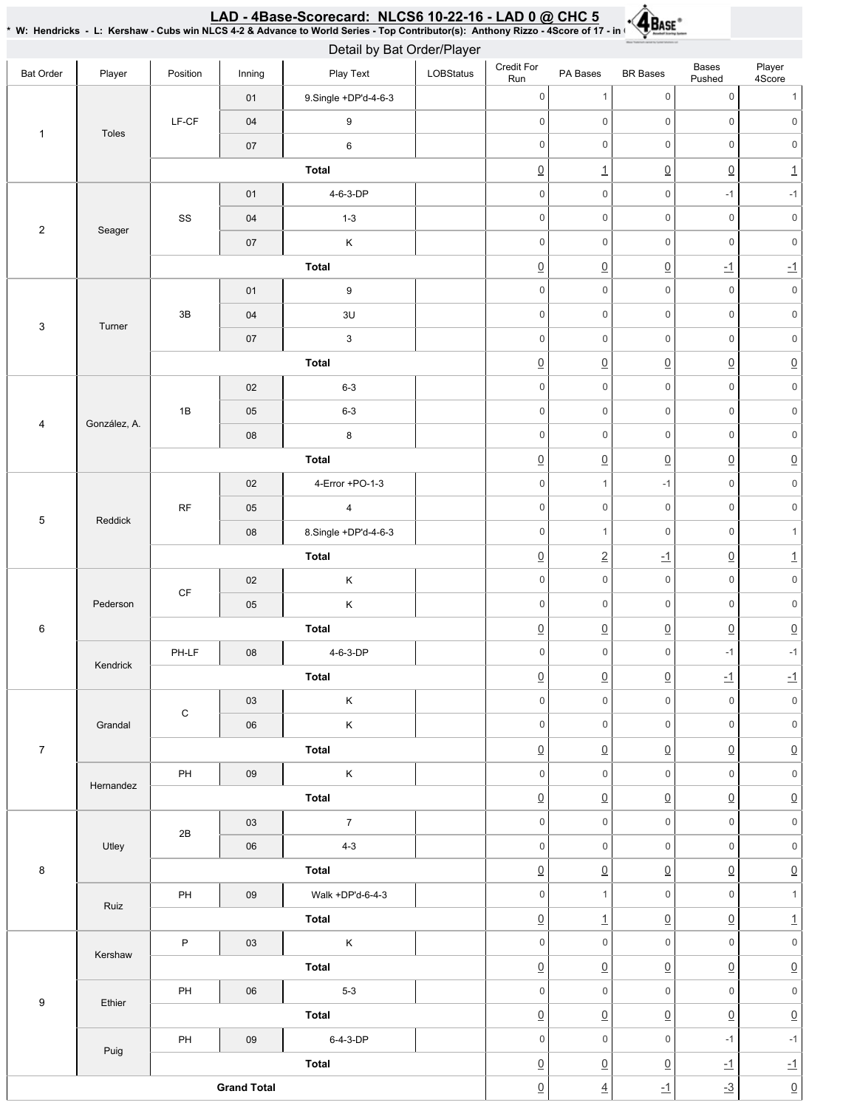|                         |              |                        |                    | * W: Hendricks - L: Kershaw - Cubs win NLCS 4-2 & Advance to World Series - Top Contributor(s): Anthony Rizzo - 4Score of 17 - in ( $\sqrt{M_{NLO}}$<br>Detail by Bat Order/Player |           |                     |                     |                     |                                                                                                                                                                                                                                                                                                                |                           |                     |
|-------------------------|--------------|------------------------|--------------------|------------------------------------------------------------------------------------------------------------------------------------------------------------------------------------|-----------|---------------------|---------------------|---------------------|----------------------------------------------------------------------------------------------------------------------------------------------------------------------------------------------------------------------------------------------------------------------------------------------------------------|---------------------------|---------------------|
| <b>Bat Order</b>        | Player       | Position               | Inning             | Play Text                                                                                                                                                                          | LOBStatus | Credit For<br>Run   | PA Bases            | <b>BR</b> Bases     | Bases<br>Pushed                                                                                                                                                                                                                                                                                                | Player<br>4Score          |                     |
|                         |              |                        | 01                 | 9.Single +DP'd-4-6-3                                                                                                                                                               |           | $\mathsf 0$         | $\mathbf{1}$        | $\mathsf{O}\xspace$ | $\mathsf{O}\xspace$                                                                                                                                                                                                                                                                                            | 1                         |                     |
|                         |              | $LF-CF$                | $04$               | 9                                                                                                                                                                                  |           | $\mathbf 0$         | $\mathsf{O}\xspace$ | $\mathbf 0$         | $\mathbf 0$                                                                                                                                                                                                                                                                                                    | $\mathbf 0$               |                     |
| $\mathbf{1}$            | Toles        |                        | 07                 | $\,6\,$                                                                                                                                                                            |           | $\mathsf 0$         | $\mathsf{O}\xspace$ | $\mathsf{O}\xspace$ | $\mathbf 0$                                                                                                                                                                                                                                                                                                    | $\mathsf{O}\xspace$       |                     |
|                         |              |                        |                    | Total                                                                                                                                                                              |           | $\underline{0}$     | $\overline{1}$      | $\underline{0}$     | $\underline{0}$                                                                                                                                                                                                                                                                                                | $\underline{\mathbf{1}}$  |                     |
|                         |              |                        | $01$               | 4-6-3-DP                                                                                                                                                                           |           | $\mathbf 0$         | $\mathsf{O}\xspace$ | $\mathsf{O}\xspace$ | $-1$                                                                                                                                                                                                                                                                                                           | $-1$                      |                     |
|                         |              | SS                     | 04                 | $1 - 3$                                                                                                                                                                            |           | $\mathbf 0$         | 0                   | $\mathsf{O}\xspace$ | $\mathsf 0$                                                                                                                                                                                                                                                                                                    | $\mathsf{O}\xspace$       |                     |
| $\sqrt{2}$              | Seager       |                        | 07                 | K                                                                                                                                                                                  |           | $\mathsf 0$         | $\mathsf 0$         | $\mathsf{O}\xspace$ | $\mathbf 0$                                                                                                                                                                                                                                                                                                    | $\mathsf{O}\xspace$       |                     |
|                         |              |                        |                    | Total                                                                                                                                                                              |           | $\underline{0}$     | $\underline{0}$     | $\underline{0}$     | $-1$                                                                                                                                                                                                                                                                                                           | $-1$                      |                     |
|                         |              |                        | 01                 | $\boldsymbol{9}$                                                                                                                                                                   |           | $\mathbf 0$         | $\mathsf{O}\xspace$ | $\mathbf 0$         | $\mathsf{O}\xspace$                                                                                                                                                                                                                                                                                            | $\mathsf{O}\xspace$       |                     |
|                         |              | 3B                     | 04                 | 3U                                                                                                                                                                                 |           | $\mathbf 0$         | 0                   | $\mathsf{O}\xspace$ | $\mathbf 0$                                                                                                                                                                                                                                                                                                    | $\mathsf{O}\xspace$       |                     |
| 3                       | Turner       |                        | 07                 | $\mathbf{3}$                                                                                                                                                                       |           | $\mathbf 0$         | 0                   | $\mathsf{O}\xspace$ | $\mathsf 0$                                                                                                                                                                                                                                                                                                    | $\mathsf{O}\xspace$       |                     |
|                         |              |                        |                    | Total                                                                                                                                                                              |           | $\underline{0}$     | $\underline{0}$     | $\underline{0}$     | $\underline{0}$                                                                                                                                                                                                                                                                                                | $\underline{0}$           |                     |
|                         |              |                        | 02                 | $6 - 3$                                                                                                                                                                            |           | $\mathsf{O}\xspace$ | 0                   | $\mathbf 0$         | $\mathsf{O}\xspace$                                                                                                                                                                                                                                                                                            | $\mathsf{O}\xspace$       |                     |
|                         |              |                        | 1B                 | 05                                                                                                                                                                                 | $6 - 3$   |                     | $\mathbf 0$         | $\mathsf{O}\xspace$ | $\mathbf 0$                                                                                                                                                                                                                                                                                                    | $\mathbf 0$               | $\mathsf{O}\xspace$ |
| $\overline{\mathbf{4}}$ | González, A. |                        | 08                 | 8                                                                                                                                                                                  |           | $\mathbf 0$         | 0                   | $\mathbf 0$         | $\mathsf 0$                                                                                                                                                                                                                                                                                                    | $\mathsf{O}\xspace$       |                     |
|                         |              |                        |                    | Total                                                                                                                                                                              |           | $\underline{0}$     | $\underline{0}$     | $\underline{0}$     | $\underline{0}$                                                                                                                                                                                                                                                                                                | $\underline{0}$           |                     |
|                         |              |                        | 02                 | 4-Error +PO-1-3                                                                                                                                                                    |           | $\mathbf 0$         | $\mathbf{1}$        | $-1$                | $\mathsf 0$                                                                                                                                                                                                                                                                                                    | $\mathsf{O}\xspace$       |                     |
|                         |              | $\sf RF$               | 05                 | $\overline{\mathbf{4}}$                                                                                                                                                            |           | $\mathbf 0$         | $\mathsf{O}\xspace$ | $\mathsf{O}\xspace$ | $\mathsf 0$                                                                                                                                                                                                                                                                                                    | $\mathsf{O}\xspace$       |                     |
| $\,$ 5 $\,$             | Reddick      |                        | ${\bf 08}$         | 8.Single +DP'd-4-6-3                                                                                                                                                               |           | $\mathsf 0$         | $\mathbf{1}$        | $\mathbf 0$         | $\mathsf 0$                                                                                                                                                                                                                                                                                                    | $\mathbf{1}$              |                     |
|                         |              |                        |                    | Total                                                                                                                                                                              |           | $\underline{0}$     | $\underline{2}$     | $\overline{-1}$     | $\underline{0}$<br>$\mathsf{O}\xspace$                                                                                                                                                                                                                                                                         | $\overline{1}$            |                     |
|                         |              |                        | 02                 | $\mathsf K$                                                                                                                                                                        |           | $\mathsf{O}\xspace$ | $\mathsf{O}\xspace$ | $\mathbf 0$         |                                                                                                                                                                                                                                                                                                                | $\mathsf{O}\xspace$       |                     |
|                         | Pederson     | $\mathsf{C}\mathsf{F}$ | 05                 | $\mathsf K$                                                                                                                                                                        |           | $\mathbf 0$         | 0                   | $\mathsf{O}\xspace$ | $\mathsf 0$                                                                                                                                                                                                                                                                                                    | $\mathsf{O}\xspace$       |                     |
| $\,6\,$                 |              |                        |                    | Total                                                                                                                                                                              |           | $\underline{0}$     | $\underline{0}$     | $\underline{0}$     | $\underline{0}$<br>$-1$<br>$\underline{\textbf{-1}}$<br>$\mathbf 0$<br>$\mathsf{O}\xspace$<br>$\underline{0}$<br>$\mathbf 0$<br>$\underline{0}$<br>$\mathbf 0$<br>$\mathbf 0$<br>$\underline{0}$<br>$\mathbf 0$<br>$\underline{0}$<br>$\mathbf 0$<br>$\underline{0}$<br>$\mathbf 0$<br>$\underline{0}$<br>$-1$ | $\underline{0}$           |                     |
|                         | Kendrick     | $PH-LF$                | 08                 | 4-6-3-DP                                                                                                                                                                           |           | $\Omega$            | $\mathsf{O}$        | $\mathsf{O}\xspace$ |                                                                                                                                                                                                                                                                                                                | $-1$                      |                     |
|                         |              |                        |                    | Total                                                                                                                                                                              |           | $\underline{0}$     | $\underline{0}$     | $\underline{0}$     |                                                                                                                                                                                                                                                                                                                | $-1$                      |                     |
|                         |              | C                      | 03                 | K                                                                                                                                                                                  |           | $\mathbf 0$         | $\overline{0}$      | $\mathbf 0$         |                                                                                                                                                                                                                                                                                                                | $\mathsf{O}\xspace$       |                     |
|                         | Grandal      |                        | 06                 | $\mathsf K$                                                                                                                                                                        |           | $\mathsf{O}$        | $\overline{0}$      | $\overline{0}$      |                                                                                                                                                                                                                                                                                                                | $\mathsf{O}\xspace$       |                     |
| $\overline{7}$          |              |                        |                    | Total                                                                                                                                                                              |           | $\underline{0}$     | $\underline{0}$     | $\overline{0}$      |                                                                                                                                                                                                                                                                                                                | $\underline{0}$           |                     |
|                         | Hernandez    | PH                     | 09                 | $\mathsf{K}$                                                                                                                                                                       |           | $\mathsf{O}$        | $\overline{0}$      | $\overline{0}$      |                                                                                                                                                                                                                                                                                                                | $\mathsf{O}\xspace$       |                     |
|                         |              |                        |                    | Total                                                                                                                                                                              |           | $\underline{0}$     | $\underline{0}$     | $\underline{0}$     |                                                                                                                                                                                                                                                                                                                | $\underline{0}$           |                     |
|                         |              | 2B                     | 03                 | $\overline{7}$                                                                                                                                                                     |           | $\mathbf 0$         | $\overline{0}$      | $\overline{0}$      |                                                                                                                                                                                                                                                                                                                | $\mathsf{O}\xspace$       |                     |
|                         | Utley        |                        | 06                 | $4-3$                                                                                                                                                                              |           | $\mathbf 0$         | $\overline{0}$      | $\overline{0}$      |                                                                                                                                                                                                                                                                                                                | $\mathsf{O}\xspace$       |                     |
| $\,8\,$                 |              |                        |                    | Total                                                                                                                                                                              |           | $\underline{0}$     | $\underline{0}$     | $\underline{0}$     |                                                                                                                                                                                                                                                                                                                | $\underline{0}$           |                     |
|                         | Ruiz         | PH                     | 09                 | Walk +DP'd-6-4-3                                                                                                                                                                   |           | $\mathbf 0$         | 1                   | $\overline{0}$      |                                                                                                                                                                                                                                                                                                                | $\mathbf{1}$              |                     |
|                         |              |                        |                    | Total                                                                                                                                                                              |           | $\underline{0}$     | $\perp$             | $\underline{0}$     |                                                                                                                                                                                                                                                                                                                | $\overline{1}$            |                     |
|                         | Kershaw      | P                      | 03                 | $\mathsf{K}$                                                                                                                                                                       |           | $\mathbf 0$         | $\overline{0}$      | $\circ$             |                                                                                                                                                                                                                                                                                                                | $\mathsf{O}\xspace$       |                     |
|                         |              |                        |                    | Total                                                                                                                                                                              |           | $\underline{0}$     | $\underline{0}$     | $\Omega$            |                                                                                                                                                                                                                                                                                                                | $\underline{0}$           |                     |
| 9                       | Ethier       | PH                     | 06                 | $5-3$                                                                                                                                                                              |           | $\mathsf{O}$        | $\overline{0}$      | $\overline{0}$      |                                                                                                                                                                                                                                                                                                                | $\mathsf{O}\xspace$       |                     |
|                         |              |                        |                    | Total                                                                                                                                                                              |           | $\underline{0}$     | $\underline{0}$     | $\overline{0}$      |                                                                                                                                                                                                                                                                                                                | $\underline{0}$           |                     |
|                         | Puig         | PH                     | 09                 | $6-4-3-DP$                                                                                                                                                                         |           | $\mathbf 0$         | $\overline{0}$      | $\overline{0}$      |                                                                                                                                                                                                                                                                                                                | $-1$                      |                     |
|                         |              |                        |                    | Total                                                                                                                                                                              |           | $\underline{0}$     | $\underline{0}$     | $\underline{0}$     | $\underline{\textbf{-1}}$                                                                                                                                                                                                                                                                                      | $\underline{\textbf{-1}}$ |                     |
|                         |              |                        | <b>Grand Total</b> |                                                                                                                                                                                    |           | $\underline{0}$     | $\underline{4}$     | $\overline{-1}$     | $-3$                                                                                                                                                                                                                                                                                                           | $\underline{0}$           |                     |

LAD - 4Base-Scorecard: NLCS610-22-16 - LADO@ CHC 5